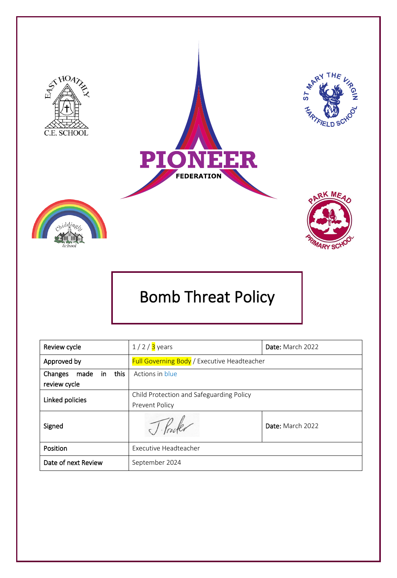

# Bomb Threat Policy

| Review cycle                                   | $1/2/3$ years                                              | Date: March 2022 |
|------------------------------------------------|------------------------------------------------------------|------------------|
| Approved by                                    | <b>Full Governing Body</b> / Executive Headteacher         |                  |
| this<br>made<br>Changes<br>in.<br>review cycle | Actions in blue                                            |                  |
| Linked policies                                | Child Protection and Safeguarding Policy<br>Prevent Policy |                  |
| Signed                                         |                                                            | Date: March 2022 |
| Position                                       | Executive Headteacher                                      |                  |
| Date of next Review                            | September 2024                                             |                  |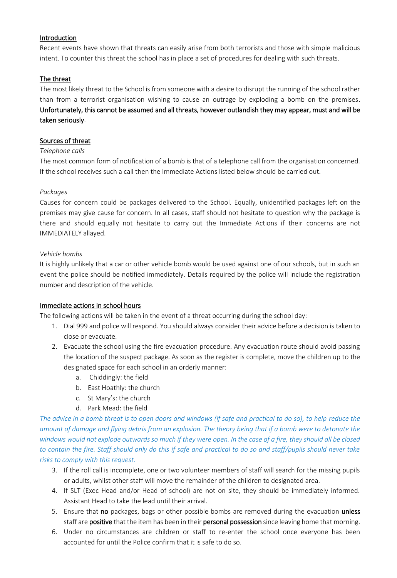#### Introduction

Recent events have shown that threats can easily arise from both terrorists and those with simple malicious intent. To counter this threat the school has in place a set of procedures for dealing with such threats.

#### The threat

The most likely threat to the School is from someone with a desire to disrupt the running of the school rather than from a terrorist organisation wishing to cause an outrage by exploding a bomb on the premises. Unfortunately, this cannot be assumed and all threats, however outlandish they may appear, must and will be taken seriously.

#### Sources of threat

#### *Telephone calls*

The most common form of notification of a bomb is that of a telephone call from the organisation concerned. If the school receives such a call then the Immediate Actions listed below should be carried out.

#### *Packages*

Causes for concern could be packages delivered to the School. Equally, unidentified packages left on the premises may give cause for concern. In all cases, staff should not hesitate to question why the package is there and should equally not hesitate to carry out the Immediate Actions if their concerns are not IMMEDIATELY allayed.

#### *Vehicle bombs*

It is highly unlikely that a car or other vehicle bomb would be used against one of our schools, but in such an event the police should be notified immediately. Details required by the police will include the registration number and description of the vehicle.

#### Immediate actions in school hours

The following actions will be taken in the event of a threat occurring during the school day:

- 1. Dial 999 and police will respond. You should always consider their advice before a decision is taken to close or evacuate.
- 2. Evacuate the school using the fire evacuation procedure. Any evacuation route should avoid passing the location of the suspect package. As soon as the register is complete, move the children up to the designated space for each school in an orderly manner:
	- a. Chiddingly: the field
	- b. East Hoathly: the church
	- c. St Mary's: the church
	- d. Park Mead: the field

*The advice in a bomb threat is to open doors and windows (if safe and practical to do so), to help reduce the amount of damage and flying debris from an explosion. The theory being that if a bomb were to detonate the windows would not explode outwards so much if they were open. In the case of a fire, they should all be closed to contain the fire. Staff should only do this if safe and practical to do so and staff/pupils should never take risks to comply with this request.*

- 3. If the roll call is incomplete, one or two volunteer members of staff will search for the missing pupils or adults, whilst other staff will move the remainder of the children to designated area.
- 4. If SLT (Exec Head and/or Head of school) are not on site, they should be immediately informed. Assistant Head to take the lead until their arrival.
- 5. Ensure that no packages, bags or other possible bombs are removed during the evacuation unless staff are positive that the item has been in their personal possession since leaving home that morning.
- 6. Under no circumstances are children or staff to re-enter the school once everyone has been accounted for until the Police confirm that it is safe to do so.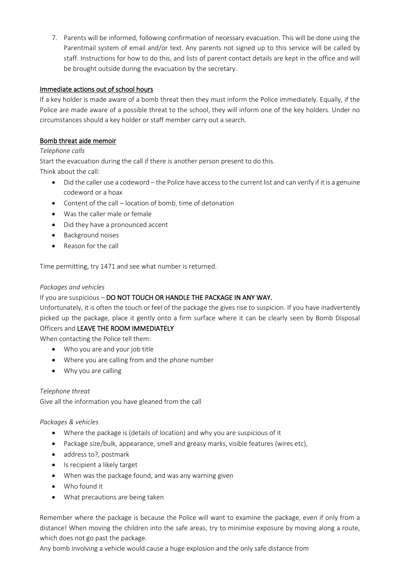7. Parents will be informed, following confirmation of necessary evacuation. This will be done using the Parentmail system of email and/or text. Any parents not signed up to this service will be called by staff. Instructions for how to do this, and lists of parent contact details are kept in the office and will be brought outside during the evacuation by the secretary.

# Immediate actions out of school hours

If a key holder is made aware of a bomb threat then they must inform the Police immediately. Equally, if the Police are made aware of a possible threat to the school, they will inform one of the key holders. Under no circumstances should a key holder or staff member carry out a search.

# Bomb threat aide memoir

# *Telephone calls*

Start the evacuation during the call if there is another person present to do this.

Think about the call:

- Did the caller use a codeword the Police have access to the current list and can verify if it is a genuine codeword or a hoax
- Content of the call location of bomb, time of detonation
- Was the caller male or female
- Did they have a pronounced accent
- Background noises
- Reason for the call

Time permitting, try 1471 and see what number is returned.

#### *Packages and vehicles*

# If you are suspicious - DO NOT TOUCH OR HANDLE THE PACKAGE IN ANY WAY.

Unfortunately, it is often the touch or feel of the package the gives rise to suspicion. If you have inadvertently picked up the package, place it gently onto a firm surface where it can be clearly seen by Bomb Disposal Officers and LEAVE THE ROOM IMMEDIATELY

When contacting the Police tell them:

- Who you are and your job title
- Where you are calling from and the phone number
- Why you are calling

# *Telephone threat*

Give all the information you have gleaned from the call

# *Packages & vehicles*

- Where the package is (details of location) and why you are suspicious of it
- Package size/bulk, appearance, smell and greasy marks, visible features (wires etc),
- address to?, postmark
- Is recipient a likely target
- When was the package found, and was any warning given
- Who found it
- What precautions are being taken

Remember where the package is because the Police will want to examine the package, even if only from a distance! When moving the children into the safe areas, try to minimise exposure by moving along a route, which does not go past the package.

Any bomb involving a vehicle would cause a huge explosion and the only safe distance from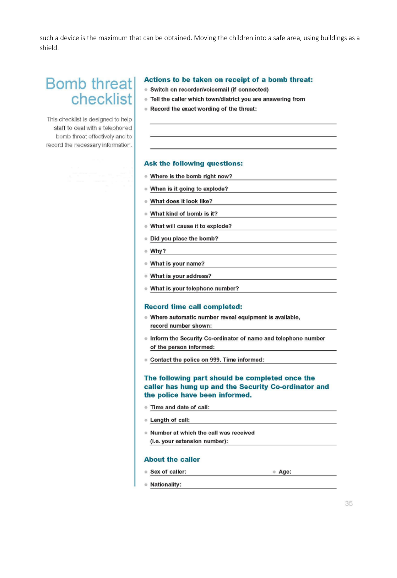such a device is the maximum that can be obtained. Moving the children into a safe area, using buildings as a shield.

# **Bomb threat** checklist

This checklist is designed to help. staff to deal with a telephoned bomb threat effectively and to record the necessary information.

#### Actions to be taken on receipt of a bomb threat:

- · Switch on recorder/voicemail (if connected)
- . Tell the caller which town/district you are answering from
- . Record the exact wording of the threat:

#### Ask the following questions:

- . Where is the bomb right now?
- . When is it going to explode?
- . What does it look like?
- . What kind of bomb is it?
- . What will cause it to explode?
- . Did you place the bomb?
- $W$ hy?
- . What is your name?
- What is your address?
- . What is your telephone number?

#### **Record time call completed:**

- . Where automatic number reveal equipment is available, record number shown:
- . Inform the Security Co-ordinator of name and telephone number of the person informed:
- Contact the police on 999. Time informed:

#### The following part should be completed once the caller has hung up and the Security Co-ordinator and the police have been informed.

- · Time and date of call:
- **E** Length of call:
- . Number at which the call was received (i.e. your extension number):

#### **About the caller**

- · Sex of caller:
- Age:

● Nationality: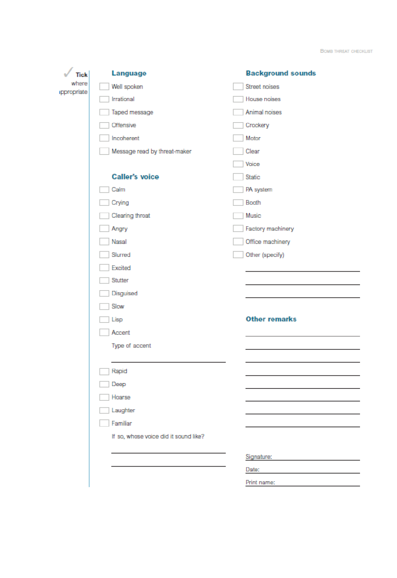**BOMB THREAT CHECKLIST** 

| <b>Tick</b>          | Language                              | <b>Background sounds</b> |
|----------------------|---------------------------------------|--------------------------|
| where<br>ippropriate | Well spoken                           | Street noises            |
|                      | Irrational                            | House noises             |
|                      | Taped message                         | Animal noises            |
|                      | Offensive                             | Crockery                 |
|                      | Incoherent                            | Motor                    |
|                      | Message read by threat-maker          | Clear                    |
|                      |                                       | Voice                    |
|                      | <b>Caller's voice</b>                 | Static                   |
|                      | Calm                                  | PA system                |
|                      | Crying                                | Booth                    |
|                      | Clearing throat                       | Music                    |
|                      | Angry                                 | Factory machinery        |
|                      | Nasal                                 | Office machinery         |
|                      | Slurred                               | Other (specify)          |
|                      | Excited                               |                          |
|                      | Stutter                               |                          |
|                      | Disguised                             |                          |
|                      | Slow                                  |                          |
|                      | Lisp                                  | <b>Other remarks</b>     |
|                      | Accent                                |                          |
|                      | Type of accent                        |                          |
|                      |                                       |                          |
|                      | Rapid                                 |                          |
|                      | Deep                                  |                          |
|                      | Hoarse                                |                          |
|                      | Laughter                              |                          |
|                      | Familiar                              |                          |
|                      | If so, whose voice did it sound like? |                          |
|                      |                                       | Signature:               |
|                      |                                       | Date:                    |
|                      |                                       | Print name:              |
|                      |                                       |                          |